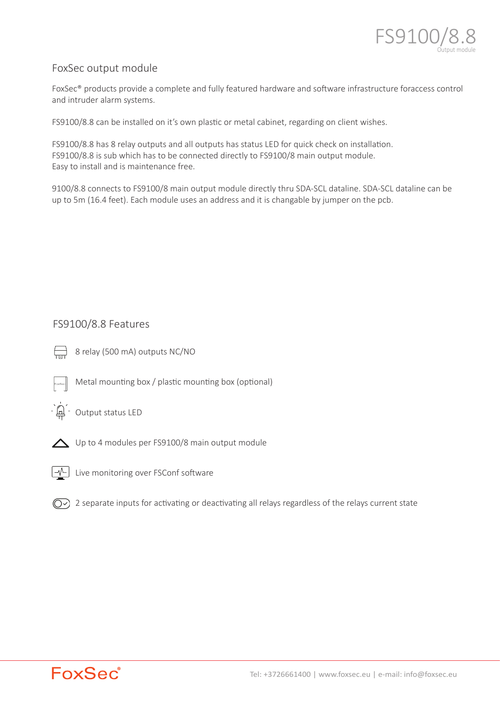

# FoxSec output module

FoxSec<sup>®</sup> products provide a complete and fully featured hardware and software infrastructure foraccess control and intruder alarm systems.

FS9100/8.8 can be installed on it's own plastic or metal cabinet, regarding on client wishes.

FS9100/8.8 has 8 relay outputs and all outputs has status LED for quick check on installation. FS9100/8.8 is sub which has to be connected directly to FS9100/8 main output module. Easy to install and is maintenance free.

9100/8.8 connects to FS9100/8 main output module directly thru SDA-SCL dataline. SDA-SCL dataline can be up to 5m (16.4 feet). Each module uses an address and it is changable by jumper on the pcb.

# FS9100/8.8 Features

- 
- $\Box$  8 relay (500 mA) outputs NC/NO
	- Metal mounting box / plastic mounting box (optional)



-` $\mathbb{Q}$ <sup>'</sup> Output status LED



△ Up to 4 modules per FS9100/8 main output module



 $\boxed{\mathcal{N}}$  Live monitoring over FSConf software

 $\circled{C}$ ) 2 separate inputs for activating or deactivating all relays regardless of the relays current state